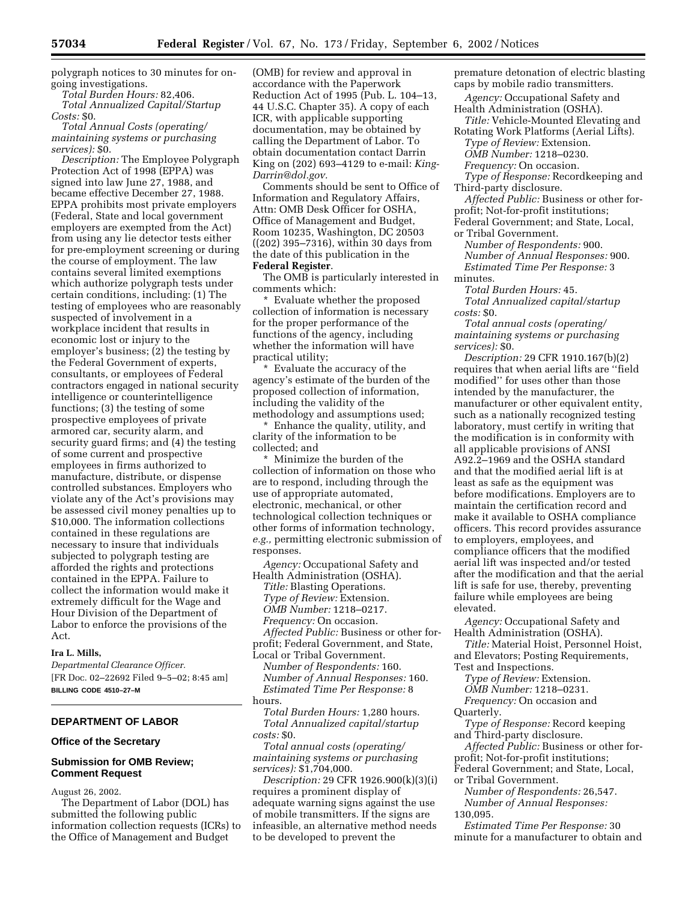polygraph notices to 30 minutes for ongoing investigations.

*Total Burden Hours:* 82,406.

*Total Annualized Capital/Startup Costs:* \$0.

*Total Annual Costs (operating/ maintaining systems or purchasing services):* \$0.

*Description:* The Employee Polygraph Protection Act of 1998 (EPPA) was signed into law June 27, 1988, and became effective December 27, 1988. EPPA prohibits most private employers (Federal, State and local government employers are exempted from the Act) from using any lie detector tests either for pre-employment screening or during the course of employment. The law contains several limited exemptions which authorize polygraph tests under certain conditions, including: (1) The testing of employees who are reasonably suspected of involvement in a workplace incident that results in economic lost or injury to the employer's business; (2) the testing by the Federal Government of experts, consultants, or employees of Federal contractors engaged in national security intelligence or counterintelligence functions; (3) the testing of some prospective employees of private armored car, security alarm, and security guard firms; and (4) the testing of some current and prospective employees in firms authorized to manufacture, distribute, or dispense controlled substances. Employers who violate any of the Act's provisions may be assessed civil money penalties up to \$10,000. The information collections contained in these regulations are necessary to insure that individuals subjected to polygraph testing are afforded the rights and protections contained in the EPPA. Failure to collect the information would make it extremely difficult for the Wage and Hour Division of the Department of Labor to enforce the provisions of the Act.

### **Ira L. Mills,**

*Departmental Clearance Officer.* [FR Doc. 02–22692 Filed 9–5–02; 8:45 am] **BILLING CODE 4510–27–M**

# **DEPARTMENT OF LABOR**

#### **Office of the Secretary**

## **Submission for OMB Review; Comment Request**

August 26, 2002.

The Department of Labor (DOL) has submitted the following public information collection requests (ICRs) to the Office of Management and Budget

(OMB) for review and approval in accordance with the Paperwork Reduction Act of 1995 (Pub. L. 104–13, 44 U.S.C. Chapter 35). A copy of each ICR, with applicable supporting documentation, may be obtained by calling the Department of Labor. To obtain documentation contact Darrin King on (202) 693–4129 to e-mail: *King-Darrin@dol.gov.*

Comments should be sent to Office of Information and Regulatory Affairs, Attn: OMB Desk Officer for OSHA, Office of Management and Budget, Room 10235, Washington, DC 20503 ((202) 395–7316), within 30 days from the date of this publication in the **Federal Register**.

The OMB is particularly interested in comments which:

\* Evaluate whether the proposed collection of information is necessary for the proper performance of the functions of the agency, including whether the information will have practical utility;

Evaluate the accuracy of the agency's estimate of the burden of the proposed collection of information, including the validity of the methodology and assumptions used;

\* Enhance the quality, utility, and clarity of the information to be collected; and

\* Minimize the burden of the collection of information on those who are to respond, including through the use of appropriate automated, electronic, mechanical, or other technological collection techniques or other forms of information technology, *e.g.,* permitting electronic submission of responses.

*Agency:* Occupational Safety and Health Administration (OSHA). *Title:* Blasting Operations. *Type of Review:* Extension. *OMB Number:* 1218–0217. *Frequency:* On occasion. *Affected Public:* Business or other forprofit; Federal Government, and State, Local or Tribal Government. *Number of Respondents:* 160. *Number of Annual Responses:* 160.

*Estimated Time Per Response:* 8 hours. *Total Burden Hours:* 1,280 hours.

*Total Annualized capital/startup costs:* \$0.

*Total annual costs (operating/ maintaining systems or purchasing services):* \$1,704,000.

*Description:* 29 CFR 1926.900(k)(3)(i) requires a prominent display of adequate warning signs against the use of mobile transmitters. If the signs are infeasible, an alternative method needs to be developed to prevent the

premature detonation of electric blasting caps by mobile radio transmitters.

*Agency:* Occupational Safety and Health Administration (OSHA).

*Title:* Vehicle-Mounted Elevating and Rotating Work Platforms (Aerial Lifts).

*Type of Review:* Extension. *OMB Number:* 1218–0230.

*Frequency:* On occasion.

*Type of Response:* Recordkeeping and Third-party disclosure.

*Affected Public:* Business or other forprofit; Not-for-profit institutions;

Federal Government; and State, Local,

or Tribal Government.

*Number of Respondents:* 900. *Number of Annual Responses:* 900. *Estimated Time Per Response:* 3

minutes.

*Total Burden Hours:* 45.

*Total Annualized capital/startup costs:* \$0.

*Total annual costs (operating/ maintaining systems or purchasing services):* \$0.

*Description:* 29 CFR 1910.167(b)(2) requires that when aerial lifts are ''field modified'' for uses other than those intended by the manufacturer, the manufacturer or other equivalent entity, such as a nationally recognized testing laboratory, must certify in writing that the modification is in conformity with all applicable provisions of ANSI A92.2–1969 and the OSHA standard and that the modified aerial lift is at least as safe as the equipment was before modifications. Employers are to maintain the certification record and make it available to OSHA compliance officers. This record provides assurance to employers, employees, and compliance officers that the modified aerial lift was inspected and/or tested after the modification and that the aerial lift is safe for use, thereby, preventing failure while employees are being elevated.

*Agency:* Occupational Safety and Health Administration (OSHA).

*Title:* Material Hoist, Personnel Hoist, and Elevators; Posting Requirements,

Test and Inspections.

*Type of Review:* Extension.

*OMB Number:* 1218–0231. *Frequency:* On occasion and

Quarterly.

*Type of Response:* Record keeping and Third-party disclosure.

*Affected Public:* Business or other forprofit; Not-for-profit institutions; Federal Government; and State, Local,

or Tribal Government.

*Number of Respondents:* 26,547. *Number of Annual Responses:*

130,095.

*Estimated Time Per Response:* 30 minute for a manufacturer to obtain and